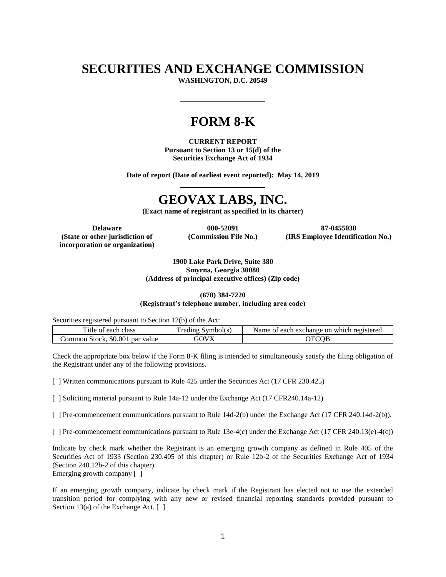## **SECURITIES AND EXCHANGE COMMISSION**

**WASHINGTON, D.C. 20549**

# **FORM 8-K**

**CURRENT REPORT Pursuant to Section 13 or 15(d) of the Securities Exchange Act of 1934**

**Date of report (Date of earliest event reported): May 14, 2019**

# **GEOVAX LABS, INC.**

**(Exact name of registrant as specified in its charter)**

**(State or other jurisdiction of incorporation or organization)**

**(Commission File No.)**

**Delaware 000-52091 87-0455038 (IRS Employee Identification No.)**

> **1900 Lake Park Drive, Suite 380 Smyrna, Georgia 30080 (Address of principal executive offices) (Zip code)**

> > **(678) 384-7220**

**(Registrant's telephone number, including area code)**

Securities registered pursuant to Section 12(b) of the Act:

| class<br><sup>1</sup> tle<br>each<br>$\Omega$ | $ -$<br>rading<br>nbolts. | each exchange on t<br>⊢which registered<br>Name<br>nt. |
|-----------------------------------------------|---------------------------|--------------------------------------------------------|
| \$0.<br>.001<br>par value<br>:ommon<br>itock. |                           |                                                        |

Check the appropriate box below if the Form 8-K filing is intended to simultaneously satisfy the filing obligation of the Registrant under any of the following provisions.

[ ] Written communications pursuant to Rule 425 under the Securities Act (17 CFR 230.425)

[ ] Soliciting material pursuant to Rule 14a-12 under the Exchange Act (17 CFR240.14a-12)

[ ] Pre-commencement communications pursuant to Rule 14d-2(b) under the Exchange Act (17 CFR 240.14d-2(b)).

[ ] Pre-commencement communications pursuant to Rule 13e-4(c) under the Exchange Act (17 CFR 240.13(e)-4(c))

Indicate by check mark whether the Registrant is an emerging growth company as defined in Rule 405 of the Securities Act of 1933 (Section 230.405 of this chapter) or Rule 12b-2 of the Securities Exchange Act of 1934 (Section 240.12b-2 of this chapter). Emerging growth company [ ]

If an emerging growth company, indicate by check mark if the Registrant has elected not to use the extended transition period for complying with any new or revised financial reporting standards provided pursuant to Section 13(a) of the Exchange Act. [ ]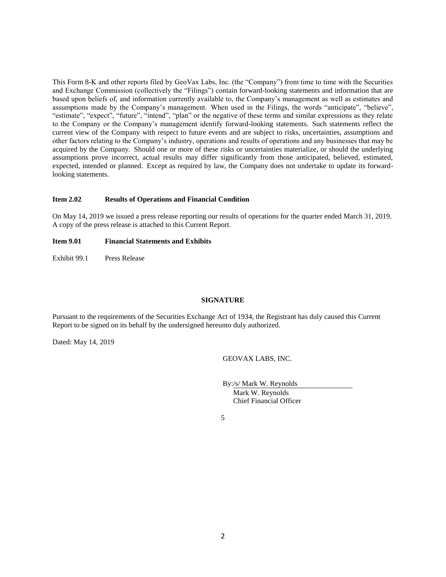This Form 8-K and other reports filed by GeoVax Labs, Inc. (the "Company") from time to time with the Securities and Exchange Commission (collectively the "Filings") contain forward-looking statements and information that are based upon beliefs of, and information currently available to, the Company's management as well as estimates and assumptions made by the Company's management. When used in the Filings, the words "anticipate", "believe", "estimate", "expect", "future", "intend", "plan" or the negative of these terms and similar expressions as they relate to the Company or the Company's management identify forward-looking statements. Such statements reflect the current view of the Company with respect to future events and are subject to risks, uncertainties, assumptions and other factors relating to the Company's industry, operations and results of operations and any businesses that may be acquired by the Company. Should one or more of these risks or uncertainties materialize, or should the underlying assumptions prove incorrect, actual results may differ significantly from those anticipated, believed, estimated, expected, intended or planned. Except as required by law, the Company does not undertake to update its forwardlooking statements.

#### **Item 2.02 Results of Operations and Financial Condition**

On May 14, 2019 we issued a press release reporting our results of operations for the quarter ended March 31, 2019. A copy of the press release is attached to this Current Report.

#### **Item 9.01 Financial Statements and Exhibits**

Exhibit 99.1 Press Release

#### **SIGNATURE**

Pursuant to the requirements of the Securities Exchange Act of 1934, the Registrant has duly caused this Current Report to be signed on its behalf by the undersigned hereunto duly authorized.

Dated: May 14, 2019

GEOVAX LABS, INC.

By:/s/ Mark W. Reynolds Mark W. Reynolds Chief Financial Officer

5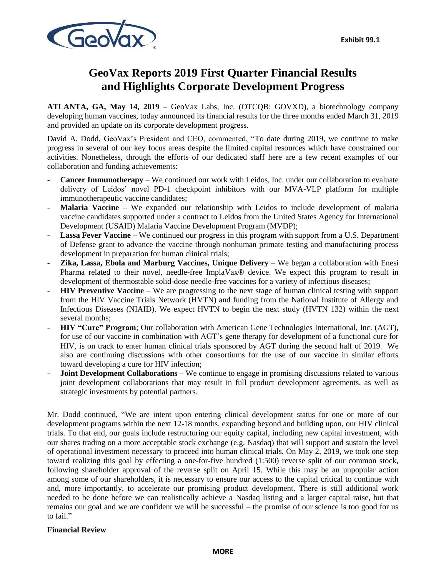

# **GeoVax Reports 2019 First Quarter Financial Results and Highlights Corporate Development Progress**

**ATLANTA, GA, May 14, 2019** – GeoVax Labs, Inc. (OTCQB: GOVXD), a biotechnology company developing human vaccines, today announced its financial results for the three months ended March 31, 2019 and provided an update on its corporate development progress.

David A. Dodd, GeoVax's President and CEO, commented, "To date during 2019, we continue to make progress in several of our key focus areas despite the limited capital resources which have constrained our activities. Nonetheless, through the efforts of our dedicated staff here are a few recent examples of our collaboration and funding achievements:

- **Cancer Immunotherapy** We continued our work with Leidos, Inc. under our collaboration to evaluate delivery of Leidos' novel PD-1 checkpoint inhibitors with our MVA-VLP platform for multiple immunotherapeutic vaccine candidates;
- **Malaria Vaccine** We expanded our relationship with Leidos to include development of malaria vaccine candidates supported under a contract to Leidos from the United States Agency for International Development (USAID) Malaria Vaccine Development Program (MVDP);
- **Lassa Fever Vaccine** We continued our progress in this program with support from a U.S. Department of Defense grant to advance the vaccine through nonhuman primate testing and manufacturing process development in preparation for human clinical trials;
- **Zika, Lassa, Ebola and Marburg Vaccines, Unique Delivery** We began a collaboration with Enesi Pharma related to their novel, needle-free ImplaVax® device. We expect this program to result in development of thermostable solid-dose needle-free vaccines for a variety of infectious diseases;
- **HIV Preventive Vaccine** We are progressing to the next stage of human clinical testing with support from the HIV Vaccine Trials Network (HVTN) and funding from the National Institute of Allergy and Infectious Diseases (NIAID). We expect HVTN to begin the next study (HVTN 132) within the next several months;
- **HIV "Cure" Program**; Our collaboration with American Gene Technologies International, Inc. (AGT), for use of our vaccine in combination with AGT's gene therapy for development of a functional cure for HIV, is on track to enter human clinical trials sponsored by AGT during the second half of 2019. We also are continuing discussions with other consortiums for the use of our vaccine in similar efforts toward developing a cure for HIV infection;
- **Joint Development Collaborations**  We continue to engage in promising discussions related to various joint development collaborations that may result in full product development agreements, as well as strategic investments by potential partners.

Mr. Dodd continued, "We are intent upon entering clinical development status for one or more of our development programs within the next 12-18 months, expanding beyond and building upon, our HIV clinical trials. To that end, our goals include restructuring our equity capital, including new capital investment, with our shares trading on a more acceptable stock exchange (e.g. Nasdaq) that will support and sustain the level of operational investment necessary to proceed into human clinical trials. On May 2, 2019, we took one step toward realizing this goal by effecting a one-for-five hundred (1:500) reverse split of our common stock, following shareholder approval of the reverse split on April 15. While this may be an unpopular action among some of our shareholders, it is necessary to ensure our access to the capital critical to continue with and, more importantly, to accelerate our promising product development. There is still additional work needed to be done before we can realistically achieve a Nasdaq listing and a larger capital raise, but that remains our goal and we are confident we will be successful – the promise of our science is too good for us to fail."

### **Financial Review**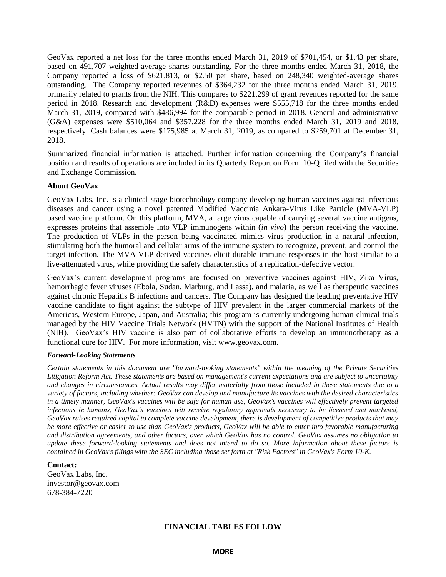GeoVax reported a net loss for the three months ended March 31, 2019 of \$701,454, or \$1.43 per share, based on 491,707 weighted-average shares outstanding. For the three months ended March 31, 2018, the Company reported a loss of \$621,813, or \$2.50 per share, based on 248,340 weighted-average shares outstanding. The Company reported revenues of \$364,232 for the three months ended March 31, 2019, primarily related to grants from the NIH. This compares to \$221,299 of grant revenues reported for the same period in 2018. Research and development (R&D) expenses were \$555,718 for the three months ended March 31, 2019, compared with \$486,994 for the comparable period in 2018. General and administrative (G&A) expenses were \$510,064 and \$357,228 for the three months ended March 31, 2019 and 2018, respectively. Cash balances were \$175,985 at March 31, 2019, as compared to \$259,701 at December 31, 2018.

Summarized financial information is attached. Further information concerning the Company's financial position and results of operations are included in its Quarterly Report on Form 10-Q filed with the Securities and Exchange Commission.

### **About GeoVax**

GeoVax Labs, Inc. is a clinical-stage biotechnology company developing human vaccines against infectious diseases and cancer using a novel patented Modified Vaccinia Ankara-Virus Like Particle (MVA-VLP) based vaccine platform. On this platform, MVA, a large virus capable of carrying several vaccine antigens, expresses proteins that assemble into VLP immunogens within (*in vivo*) the person receiving the vaccine. The production of VLPs in the person being vaccinated mimics virus production in a natural infection, stimulating both the humoral and cellular arms of the immune system to recognize, prevent, and control the target infection. The MVA-VLP derived vaccines elicit durable immune responses in the host similar to a live-attenuated virus, while providing the safety characteristics of a replication-defective vector.

GeoVax's current development programs are focused on preventive vaccines against HIV, Zika Virus, hemorrhagic fever viruses (Ebola, Sudan, Marburg, and Lassa), and malaria, as well as therapeutic vaccines against chronic Hepatitis B infections and cancers. The Company has designed the leading preventative HIV vaccine candidate to fight against the subtype of HIV prevalent in the larger commercial markets of the Americas, Western Europe, Japan, and Australia; this program is currently undergoing human clinical trials managed by the HIV Vaccine Trials Network (HVTN) with the support of the National Institutes of Health (NIH). GeoVax's HIV vaccine is also part of collaborative efforts to develop an immunotherapy as a functional cure for HIV. For more information, visi[t www.geovax.com.](http://www.geovax.com/)

#### *Forward-Looking Statements*

*Certain statements in this document are "forward-looking statements" within the meaning of the Private Securities Litigation Reform Act. These statements are based on management's current expectations and are subject to uncertainty and changes in circumstances. Actual results may differ materially from those included in these statements due to a variety of factors, including whether: GeoVax can develop and manufacture its vaccines with the desired characteristics in a timely manner, GeoVax's vaccines will be safe for human use, GeoVax's vaccines will effectively prevent targeted infections in humans, GeoVax's vaccines will receive regulatory approvals necessary to be licensed and marketed, GeoVax raises required capital to complete vaccine development, there is development of competitive products that may be more effective or easier to use than GeoVax's products, GeoVax will be able to enter into favorable manufacturing and distribution agreements, and other factors, over which GeoVax has no control. GeoVax assumes no obligation to update these forward-looking statements and does not intend to do so. More information about these factors is contained in GeoVax's filings with the SEC including those set forth at "Risk Factors" in GeoVax's Form 10-K.*

#### **Contact:**

GeoVax Labs, Inc. investor@geovax.com 678-384-7220

### **FINANCIAL TABLES FOLLOW**